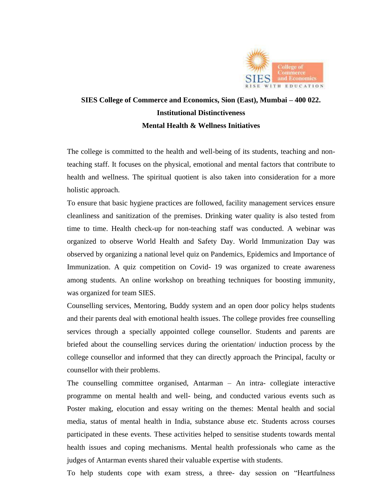

## **SIES College of Commerce and Economics, Sion (East), Mumbai – 400 022. Institutional Distinctiveness Mental Health & Wellness Initiatives**

The college is committed to the health and well-being of its students, teaching and nonteaching staff. It focuses on the physical, emotional and mental factors that contribute to health and wellness. The spiritual quotient is also taken into consideration for a more holistic approach.

To ensure that basic hygiene practices are followed, facility management services ensure cleanliness and sanitization of the premises. Drinking water quality is also tested from time to time. Health check-up for non-teaching staff was conducted. A webinar was organized to observe World Health and Safety Day. World Immunization Day was observed by organizing a national level quiz on Pandemics, Epidemics and Importance of Immunization. A quiz competition on Covid- 19 was organized to create awareness among students. An online workshop on breathing techniques for boosting immunity, was organized for team SIES.

Counselling services, Mentoring, Buddy system and an open door policy helps students and their parents deal with emotional health issues. The college provides free counselling services through a specially appointed college counsellor. Students and parents are briefed about the counselling services during the orientation/ induction process by the college counsellor and informed that they can directly approach the Principal, faculty or counsellor with their problems.

The counselling committee organised, Antarman – An intra- collegiate interactive programme on mental health and well- being, and conducted various events such as Poster making, elocution and essay writing on the themes: Mental health and social media, status of mental health in India, substance abuse etc. Students across courses participated in these events. These activities helped to sensitise students towards mental health issues and coping mechanisms. Mental health professionals who came as the judges of Antarman events shared their valuable expertise with students.

To help students cope with exam stress, a three- day session on "Heartfulness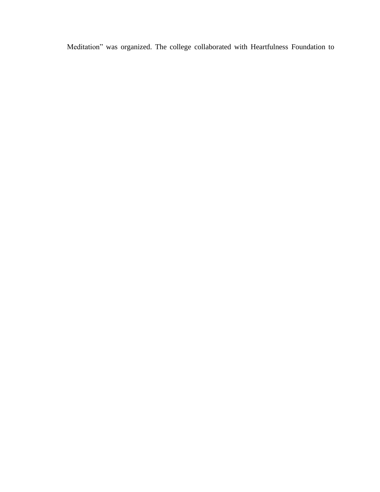Meditation" was organized. The college collaborated with Heartfulness Foundation to